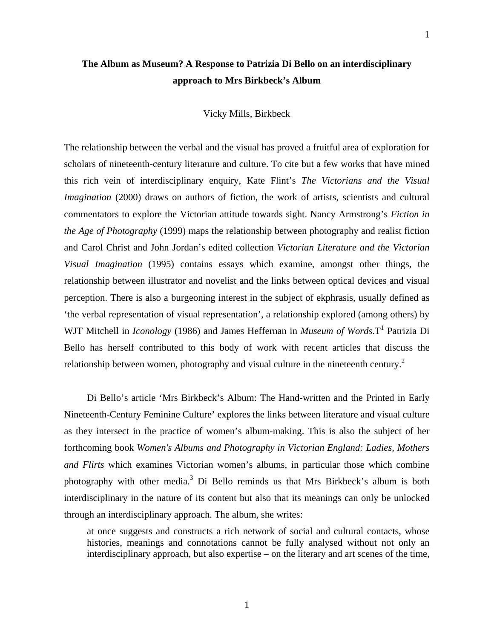## **The Album as Museum? A Response to Patrizia Di Bello on an interdisciplinary approach to Mrs Birkbeck's Album**

## Vicky Mills, Birkbeck

The relationship between the verbal and the visual has proved a fruitful area of exploration for scholars of nineteenth-century literature and culture. To cite but a few works that have mined this rich vein of interdisciplinary enquiry, Kate Flint's *The Victorians and the Visual Imagination* (2000) draws on authors of fiction, the work of artists, scientists and cultural commentators to explore the Victorian attitude towards sight. Nancy Armstrong's *Fiction in the Age of Photography* (1999) maps the relationship between photography and realist fiction and Carol Christ and John Jordan's edited collection *Victorian Literature and the Victorian Visual Imagination* (1995) contains essays which examine, amongst other things, the relationship between illustrator and novelist and the links between optical devices and visual perception. There is also a burgeoning interest in the subject of ekphrasis, usually defined as 'the verbal representation of visual representation', a relationship explored (among others) by WJT Mitchell in *Iconology* (1986) and James Heffernan in *Museum of Words*. T<sup>1</sup> Patrizia Di Bello has herself contributed to this body of work with recent articles that discuss the relationship between women, photography and visual culture in the nineteenth century.<sup>[2](#page-8-1)</sup>

Di Bello's article 'Mrs Birkbeck's Album: The Hand-written and the Printed in Early Nineteenth-Century Feminine Culture' explores the links between literature and visual culture as they intersect in the practice of women's album-making. This is also the subject of her forthcoming book *Women's Albums and Photography in Victorian England: Ladies, Mothers and Flirts* which examines Victorian women's albums, in particular those which combine photography with other media.<sup>[3](#page-8-2)</sup> Di Bello reminds us that Mrs Birkbeck's album is both interdisciplinary in the nature of its content but also that its meanings can only be unlocked through an interdisciplinary approach. The album, she writes:

at once suggests and constructs a rich network of social and cultural contacts, whose histories, meanings and connotations cannot be fully analysed without not only an interdisciplinary approach, but also expertise – on the literary and art scenes of the time,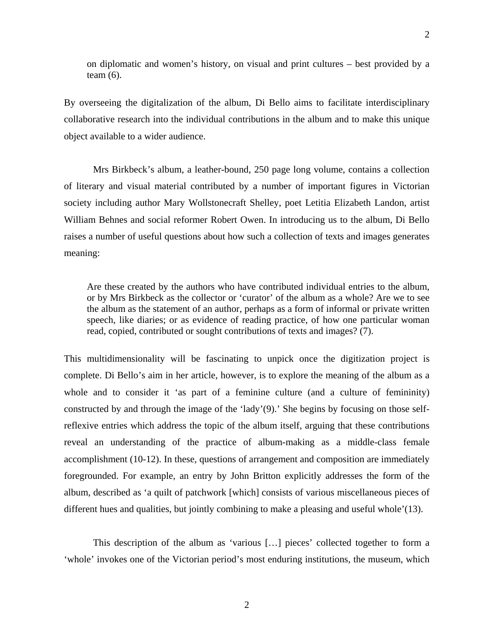on diplomatic and women's history, on visual and print cultures – best provided by a team (6).

By overseeing the digitalization of the album, Di Bello aims to facilitate interdisciplinary collaborative research into the individual contributions in the album and to make this unique object available to a wider audience.

Mrs Birkbeck's album, a leather-bound, 250 page long volume, contains a collection of literary and visual material contributed by a number of important figures in Victorian society including author Mary Wollstonecraft Shelley, poet Letitia Elizabeth Landon, artist William Behnes and social reformer Robert Owen. In introducing us to the album, Di Bello raises a number of useful questions about how such a collection of texts and images generates meaning:

Are these created by the authors who have contributed individual entries to the album, or by Mrs Birkbeck as the collector or 'curator' of the album as a whole? Are we to see the album as the statement of an author, perhaps as a form of informal or private written speech, like diaries; or as evidence of reading practice, of how one particular woman read, copied, contributed or sought contributions of texts and images? (7).

This multidimensionality will be fascinating to unpick once the digitization project is complete. Di Bello's aim in her article, however, is to explore the meaning of the album as a whole and to consider it 'as part of a feminine culture (and a culture of femininity) constructed by and through the image of the 'lady'(9).' She begins by focusing on those selfreflexive entries which address the topic of the album itself, arguing that these contributions reveal an understanding of the practice of album-making as a middle-class female accomplishment (10-12). In these, questions of arrangement and composition are immediately foregrounded. For example, an entry by John Britton explicitly addresses the form of the album, described as 'a quilt of patchwork [which] consists of various miscellaneous pieces of different hues and qualities, but jointly combining to make a pleasing and useful whole'(13).

This description of the album as 'various […] pieces' collected together to form a 'whole' invokes one of the Victorian period's most enduring institutions, the museum, which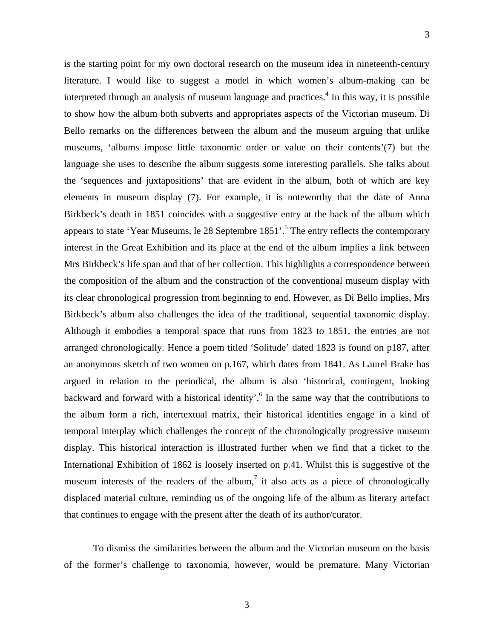is the starting point for my own doctoral research on the museum idea in nineteenth-century literature. I would like to suggest a model in which women's album-making can be interpretedthrough an analysis of museum language and practices.<sup>4</sup> In this way, it is possible to show how the album both subverts and appropriates aspects of the Victorian museum. Di Bello remarks on the differences between the album and the museum arguing that unlike museums, 'albums impose little taxonomic order or value on their contents'(7) but the language she uses to describe the album suggests some interesting parallels. She talks about the 'sequences and juxtapositions' that are evident in the album, both of which are key elements in museum display (7). For example, it is noteworthy that the date of Anna Birkbeck's death in 1851 coincides with a suggestive entry at the back of the album which appears to state 'Year Museums, le 28 Septembre  $1851'$  $1851'$  $1851'$ .<sup>5</sup> The entry reflects the contemporary interest in the Great Exhibition and its place at the end of the album implies a link between Mrs Birkbeck's life span and that of her collection. This highlights a correspondence between the composition of the album and the construction of the conventional museum display with its clear chronological progression from beginning to end. However, as Di Bello implies, Mrs Birkbeck's album also challenges the idea of the traditional, sequential taxonomic display. Although it embodies a temporal space that runs from 1823 to 1851, the entries are not arranged chronologically. Hence a poem titled 'Solitude' dated 1823 is found on p187, after an anonymous sketch of two women on p.167, which dates from 1841. As Laurel Brake has argued in relation to the periodical, the album is also 'historical, contingent, looking backward and forward with a historical identity'.<sup>6</sup> In the same way that the contributions to the album form a rich, intertextual matrix, their historical identities engage in a kind of temporal interplay which challenges the concept of the chronologically progressive museum display. This historical interaction is illustrated further when we find that a ticket to the International Exhibition of 1862 is loosely inserted on p.41. Whilst this is suggestive of the museum interests of the readers of the album,<sup>[7](#page-8-2)</sup> it also acts as a piece of chronologically displaced material culture, reminding us of the ongoing life of the album as literary artefact that continues to engage with the present after the death of its author/curator.

To dismiss the similarities between the album and the Victorian museum on the basis of the former's challenge to taxonomia, however, would be premature. Many Victorian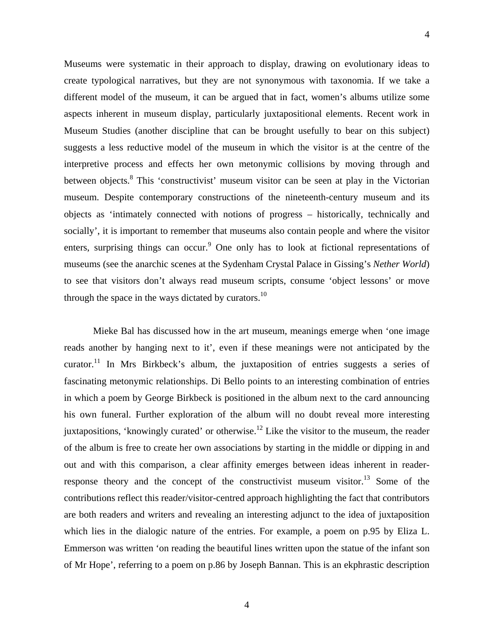Museums were systematic in their approach to display, drawing on evolutionary ideas to create typological narratives, but they are not synonymous with taxonomia. If we take a different model of the museum, it can be argued that in fact, women's albums utilize some aspects inherent in museum display, particularly juxtapositional elements. Recent work in Museum Studies (another discipline that can be brought usefully to bear on this subject) suggests a less reductive model of the museum in which the visitor is at the centre of the interpretive process and effects her own metonymic collisions by moving through and between objects.<sup>[8](#page-8-6)</sup> This 'constructivist' museum visitor can be seen at play in the Victorian museum. Despite contemporary constructions of the nineteenth-century museum and its objects as 'intimately connected with notions of progress – historically, technically and socially', it is important to remember that museums also contain people and where the visitor enters, surprising things can occur.<sup>[9](#page-8-7)</sup> One only has to look at fictional representations of museums (see the anarchic scenes at the Sydenham Crystal Palace in Gissing's *Nether World*) to see that visitors don't always read museum scripts, consume 'object lessons' or move through the space in the ways dictated by curators.<sup>10</sup>

Mieke Bal has discussed how in the art museum, meanings emerge when 'one image reads another by hanging next to it', even if these meanings were not anticipated by the curator.<sup>11</sup> In Mrs Birkbeck's album, the juxtaposition of entries suggests a series of fascinating metonymic relationships. Di Bello points to an interesting combination of entries in which a poem by George Birkbeck is positioned in the album next to the card announcing his own funeral. Further exploration of the album will no doubt reveal more interesting juxtapositions, 'knowingly curated' or otherwise.<sup>12</sup> Like the visitor to the museum, the reader of the album is free to create her own associations by starting in the middle or dipping in and out and with this comparison, a clear affinity emerges between ideas inherent in readerresponse theory and the concept of the constructivist museum visitor.<sup>13</sup> Some of the contributions reflect this reader/visitor-centred approach highlighting the fact that contributors are both readers and writers and revealing an interesting adjunct to the idea of juxtaposition which lies in the dialogic nature of the entries. For example, a poem on p.95 by Eliza L. Emmerson was written 'on reading the beautiful lines written upon the statue of the infant son of Mr Hope', referring to a poem on p.86 by Joseph Bannan. This is an ekphrastic description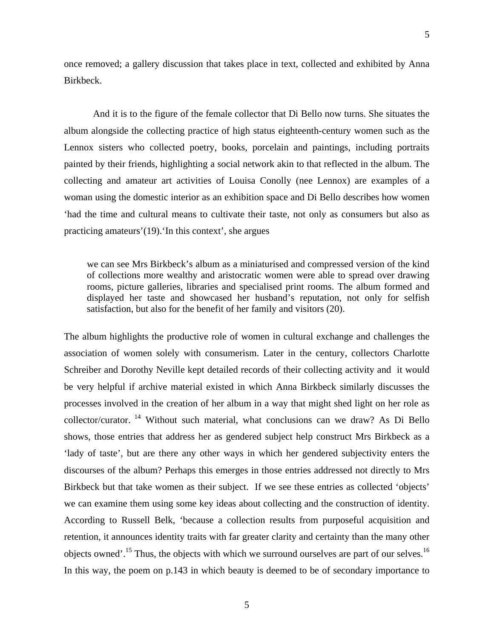once removed; a gallery discussion that takes place in text, collected and exhibited by Anna Birkbeck.

5

And it is to the figure of the female collector that Di Bello now turns. She situates the album alongside the collecting practice of high status eighteenth-century women such as the Lennox sisters who collected poetry, books, porcelain and paintings, including portraits painted by their friends, highlighting a social network akin to that reflected in the album. The collecting and amateur art activities of Louisa Conolly (nee Lennox) are examples of a woman using the domestic interior as an exhibition space and Di Bello describes how women 'had the time and cultural means to cultivate their taste, not only as consumers but also as practicing amateurs'(19).'In this context', she argues

we can see Mrs Birkbeck's album as a miniaturised and compressed version of the kind of collections more wealthy and aristocratic women were able to spread over drawing rooms, picture galleries, libraries and specialised print rooms. The album formed and displayed her taste and showcased her husband's reputation, not only for selfish satisfaction, but also for the benefit of her family and visitors (20).

The album highlights the productive role of women in cultural exchange and challenges the association of women solely with consumerism. Later in the century, collectors Charlotte Schreiber and Dorothy Neville kept detailed records of their collecting activity and it would be very helpful if archive material existed in which Anna Birkbeck similarly discusses the processes involved in the creation of her album in a way that might shed light on her role as collector/curator. [14](#page-8-10) Without such material, what conclusions can we draw? As Di Bello shows, those entries that address her as gendered subject help construct Mrs Birkbeck as a 'lady of taste', but are there any other ways in which her gendered subjectivity enters the discourses of the album? Perhaps this emerges in those entries addressed not directly to Mrs Birkbeck but that take women as their subject. If we see these entries as collected 'objects' we can examine them using some key ideas about collecting and the construction of identity. According to Russell Belk, 'because a collection results from purposeful acquisition and retention, it announces identity traits with far greater clarity and certainty than the many other objects owned'.<sup>15</sup> Thus, the objects with which we surround ourselves are part of our selves.<sup>[16](#page-8-11)</sup> In this way, the poem on p.143 in which beauty is deemed to be of secondary importance to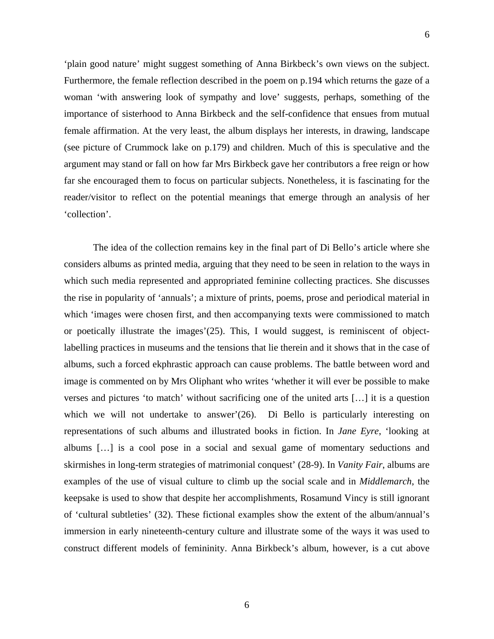6

'plain good nature' might suggest something of Anna Birkbeck's own views on the subject. Furthermore, the female reflection described in the poem on p.194 which returns the gaze of a woman 'with answering look of sympathy and love' suggests, perhaps, something of the importance of sisterhood to Anna Birkbeck and the self-confidence that ensues from mutual female affirmation. At the very least, the album displays her interests, in drawing, landscape (see picture of Crummock lake on p.179) and children. Much of this is speculative and the argument may stand or fall on how far Mrs Birkbeck gave her contributors a free reign or how far she encouraged them to focus on particular subjects. Nonetheless, it is fascinating for the reader/visitor to reflect on the potential meanings that emerge through an analysis of her 'collection'.

The idea of the collection remains key in the final part of Di Bello's article where she considers albums as printed media, arguing that they need to be seen in relation to the ways in which such media represented and appropriated feminine collecting practices. She discusses the rise in popularity of 'annuals'; a mixture of prints, poems, prose and periodical material in which 'images were chosen first, and then accompanying texts were commissioned to match or poetically illustrate the images'(25). This, I would suggest, is reminiscent of objectlabelling practices in museums and the tensions that lie therein and it shows that in the case of albums, such a forced ekphrastic approach can cause problems. The battle between word and image is commented on by Mrs Oliphant who writes 'whether it will ever be possible to make verses and pictures 'to match' without sacrificing one of the united arts […] it is a question which we will not undertake to answer'(26). Di Bello is particularly interesting on representations of such albums and illustrated books in fiction. In *Jane Eyre*, 'looking at albums […] is a cool pose in a social and sexual game of momentary seductions and skirmishes in long-term strategies of matrimonial conquest' (28-9). In *Vanity Fair*, albums are examples of the use of visual culture to climb up the social scale and in *Middlemarch*, the keepsake is used to show that despite her accomplishments, Rosamund Vincy is still ignorant of 'cultural subtleties' (32). These fictional examples show the extent of the album/annual's immersion in early nineteenth-century culture and illustrate some of the ways it was used to construct different models of femininity. Anna Birkbeck's album, however, is a cut above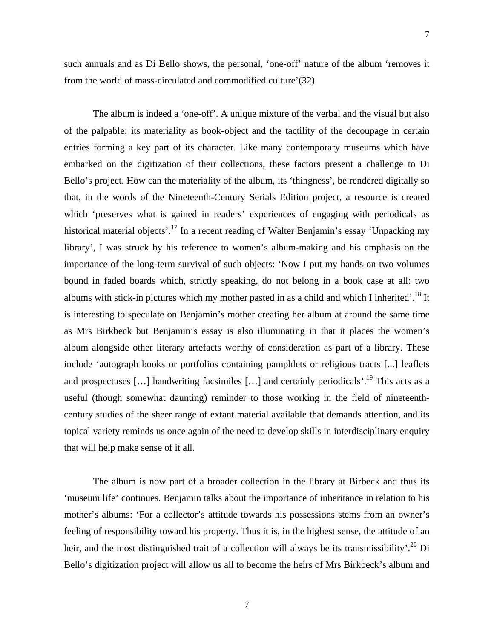such annuals and as Di Bello shows, the personal, 'one-off' nature of the album 'removes it from the world of mass-circulated and commodified culture'(32).

The album is indeed a 'one-off'. A unique mixture of the verbal and the visual but also of the palpable; its materiality as book-object and the tactility of the decoupage in certain entries forming a key part of its character. Like many contemporary museums which have embarked on the digitization of their collections, these factors present a challenge to Di Bello's project. How can the materiality of the album, its 'thingness', be rendered digitally so that, in the words of the Nineteenth-Century Serials Edition project, a resource is created which 'preserves what is gained in readers' experiences of engaging with periodicals as historical material objects'.<sup>17</sup> In a recent reading of Walter Benjamin's essay 'Unpacking my library', I was struck by his reference to women's album-making and his emphasis on the importance of the long-term survival of such objects: 'Now I put my hands on two volumes bound in faded boards which, strictly speaking, do not belong in a book case at all: two albums with stick-in pictures which my mother pasted in as a child and which I inherited'.[18](#page-8-8) It is interesting to speculate on Benjamin's mother creating her album at around the same time as Mrs Birkbeck but Benjamin's essay is also illuminating in that it places the women's album alongside other literary artefacts worthy of consideration as part of a library. These include 'autograph books or portfolios containing pamphlets or religious tracts [...] leaflets and prospectuses [...] handwriting facsimiles [...] and certainly periodicals'.<sup>19</sup> This acts as a useful (though somewhat daunting) reminder to those working in the field of nineteenthcentury studies of the sheer range of extant material available that demands attention, and its topical variety reminds us once again of the need to develop skills in interdisciplinary enquiry that will help make sense of it all.

The album is now part of a broader collection in the library at Birbeck and thus its 'museum life' continues. Benjamin talks about the importance of inheritance in relation to his mother's albums: 'For a collector's attitude towards his possessions stems from an owner's feeling of responsibility toward his property. Thus it is, in the highest sense, the attitude of an heir, and the most distinguished trait of a collection will always be its transmissibility'.<sup>20</sup> Di Bello's digitization project will allow us all to become the heirs of Mrs Birkbeck's album and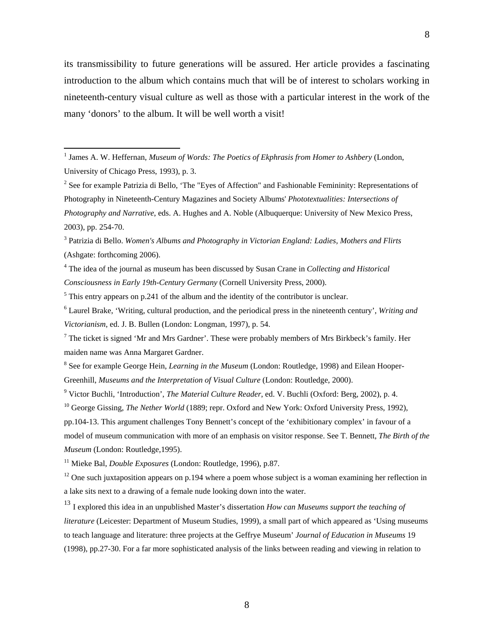its transmissibility to future generations will be assured. Her article provides a fascinating introduction to the album which contains much that will be of interest to scholars working in nineteenth-century visual culture as well as those with a particular interest in the work of the many 'donors' to the album. It will be well worth a visit!

3 Patrizia di Bello. *Women's Albums and Photography in Victorian England: Ladies, Mothers and Flirts* (Ashgate: forthcoming 2006).

4 The idea of the journal as museum has been discussed by Susan Crane in *Collecting and Historical Consciousness in Early 19th-Century Germany* (Cornell University Press, 2000).

 $<sup>5</sup>$  This entry appears on p.241 of the album and the identity of the contributor is unclear.</sup>

6 Laurel Brake, 'Writing, cultural production, and the periodical press in the nineteenth century', *Writing and Victorianism*, ed. J. B. Bullen (London: Longman, 1997), p. 54.

 $<sup>7</sup>$  The ticket is signed 'Mr and Mrs Gardner'. These were probably members of Mrs Birkbeck's family. Her</sup> maiden name was Anna Margaret Gardner.

<sup>8</sup> See for example George Hein, *Learning in the Museum* (London: Routledge, 1998) and Eilean Hooper-Greenhill, *Museums and the Interpretation of Visual Culture* (London: Routledge, 2000).

9 Victor Buchli, 'Introduction', *The Material Culture Reader*, ed. V. Buchli (Oxford: Berg, 2002), p. 4.

<sup>10</sup> George Gissing, *The Nether World* (1889; repr. Oxford and New York: Oxford University Press, 1992), pp.104-13. This argument challenges Tony Bennett's concept of the 'exhibitionary complex' in favour of a model of museum communication with more of an emphasis on visitor response. See T. Bennett, *The Birth of the Museum* (London: Routledge,1995).

11 Mieke Bal, *Double Exposures* (London: Routledge, 1996), p.87.

 $12$  One such juxtaposition appears on p.194 where a poem whose subject is a woman examining her reflection in a lake sits next to a drawing of a female nude looking down into the water.

<sup>13</sup> I explored this idea in an unpublished Master's dissertation *How can Museums support the teaching of literature* (Leicester: Department of Museum Studies, 1999), a small part of which appeared as 'Using museums to teach language and literature: three projects at the Geffrye Museum' *Journal of Education in Museums* 19 (1998), pp.27-30. For a far more sophisticated analysis of the links between reading and viewing in relation to

 1 James A. W. Heffernan, *Museum of Words: The Poetics of Ekphrasis from Homer to Ashbery* (London, University of Chicago Press, 1993), p. 3.

<sup>&</sup>lt;sup>2</sup> See for example Patrizia di Bello, 'The "Eyes of Affection" and Fashionable Femininity: Representations of Photography in Nineteenth-Century Magazines and Society Albums' *Phototextualities: Intersections of Photography and Narrative*, eds. A. Hughes and A. Noble (Albuquerque: University of New Mexico Press, 2003), pp. 254-70.